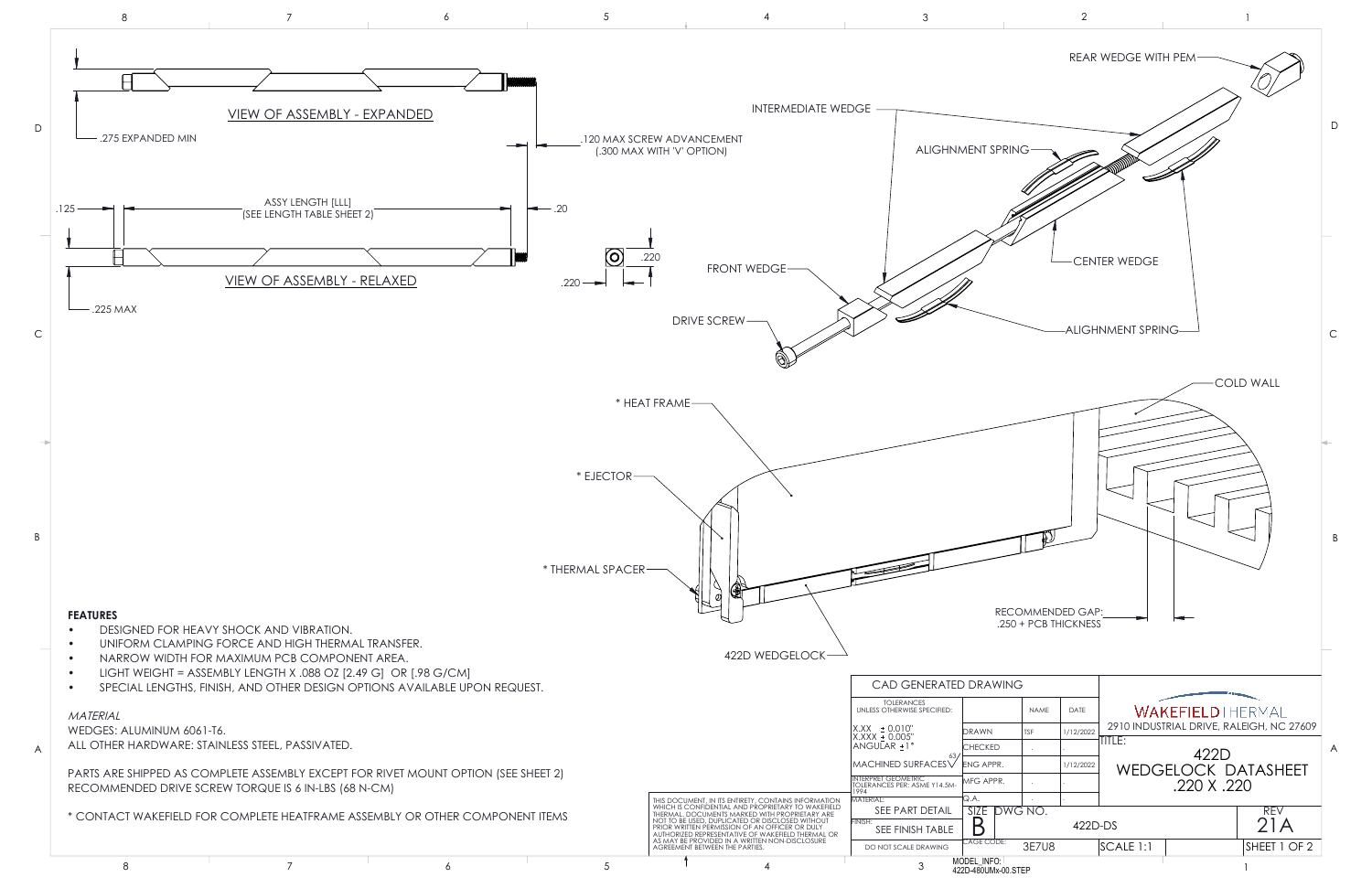